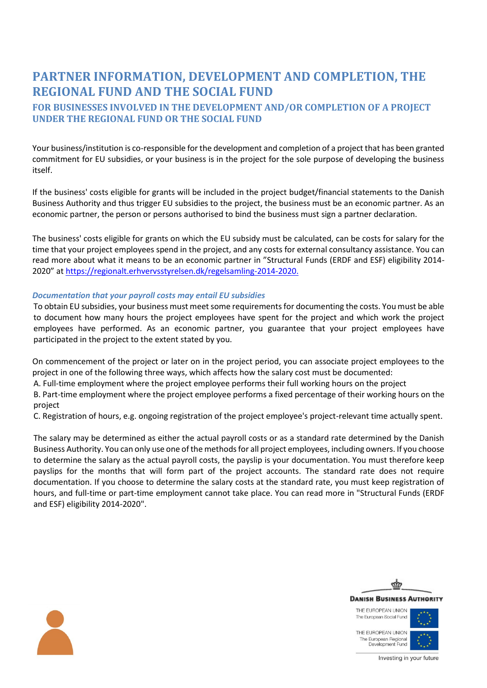# **PARTNER INFORMATION, DEVELOPMENT AND COMPLETION, THE REGIONAL FUND AND THE SOCIAL FUND**

## **FOR BUSINESSES INVOLVED IN THE DEVELOPMENT AND/OR COMPLETION OF A PROJECT UNDER THE REGIONAL FUND OR THE SOCIAL FUND**

Your business/institution is co-responsible for the development and completion of a project that has been granted commitment for EU subsidies, or your business is in the project for the sole purpose of developing the business itself.

If the business' costs eligible for grants will be included in the project budget/financial statements to the Danish Business Authority and thus trigger EU subsidies to the project, the business must be an economic partner. As an economic partner, the person or persons authorised to bind the business must sign a partner declaration.

The business' costs eligible for grants on which the EU subsidy must be calculated, can be costs for salary for the time that your project employees spend in the project, and any costs for external consultancy assistance. You can read more about what it means to be an economic partner in "Structural Funds (ERDF and ESF) eligibility 2014- 2020" at [https://regionalt.erhvervsstyrelsen.dk/regelsamling-2014-2020.](https://regionalt.erhvervsstyrelsen.dk/regelsamling-2014-2020)

### *Documentation that your payroll costs may entail EU subsidies*

To obtain EU subsidies, your business must meet some requirements for documenting the costs. You must be able to document how many hours the project employees have spent for the project and which work the project employees have performed. As an economic partner, you guarantee that your project employees have participated in the project to the extent stated by you.

On commencement of the project or later on in the project period, you can associate project employees to the project in one of the following three ways, which affects how the salary cost must be documented:

A. Full-time employment where the project employee performs their full working hours on the project

B. Part-time employment where the project employee performs a fixed percentage of their working hours on the project

C. Registration of hours, e.g. ongoing registration of the project employee's project-relevant time actually spent.

The salary may be determined as either the actual payroll costs or as a standard rate determined by the Danish Business Authority. You can only use one of the methods for all project employees, including owners. If you choose to determine the salary as the actual payroll costs, the payslip is your documentation. You must therefore keep payslips for the months that will form part of the project accounts. The standard rate does not require documentation. If you choose to determine the salary costs at the standard rate, you must keep registration of hours, and full-time or part-time employment cannot take place. You can read more in "Structural Funds (ERDF and ESF) eligibility 2014-2020".



THE EUROPEAN UNION The European Social Fund

THE EUROPEAN UNION The European Regional<br>Development Fund



Investing in your future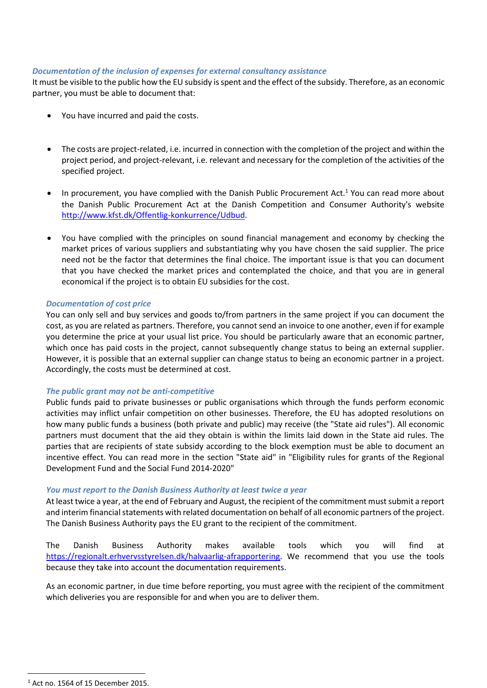#### *Documentation of the inclusion of expenses for external consultancy assistance*

It must be visible to the public how the EU subsidy is spent and the effect of the subsidy. Therefore, as an economic partner, you must be able to document that:

- You have incurred and paid the costs.
- The costs are project-related, i.e. incurred in connection with the completion of the project and within the project period, and project-relevant, i.e. relevant and necessary for the completion of the activities of the specified project.
- In procurement, you have complied with the Danish Public Procurement Act.<sup>1</sup> You can read more about the Danish Public Procurement Act at the Danish Competition and Consumer Authority's website [http://www.kfst.dk/Offentlig-konkurrence/Udbud.](http://www.kfst.dk/Offentlig-konkurrence/Udbud)
- You have complied with the principles on sound financial management and economy by checking the market prices of various suppliers and substantiating why you have chosen the said supplier. The price need not be the factor that determines the final choice. The important issue is that you can document that you have checked the market prices and contemplated the choice, and that you are in general economical if the project is to obtain EU subsidies for the cost.

#### *Documentation of cost price*

You can only sell and buy services and goods to/from partners in the same project if you can document the cost, as you are related as partners. Therefore, you cannot send an invoice to one another, even if for example you determine the price at your usual list price. You should be particularly aware that an economic partner, which once has paid costs in the project, cannot subsequently change status to being an external supplier. However, it is possible that an external supplier can change status to being an economic partner in a project. Accordingly, the costs must be determined at cost.

#### *The public grant may not be anti-competitive*

Public funds paid to private businesses or public organisations which through the funds perform economic activities may inflict unfair competition on other businesses. Therefore, the EU has adopted resolutions on how many public funds a business (both private and public) may receive (the "State aid rules"). All economic partners must document that the aid they obtain is within the limits laid down in the State aid rules. The parties that are recipients of state subsidy according to the block exemption must be able to document an incentive effect. You can read more in the section "State aid" in "Eligibility rules for grants of the Regional Development Fund and the Social Fund 2014-2020"

#### *You must report to the Danish Business Authority at least twice a year*

At least twice a year, at the end of February and August, the recipient of the commitment must submit a report and interim financial statements with related documentation on behalf of all economic partners of the project. The Danish Business Authority pays the EU grant to the recipient of the commitment.

The Danish Business Authority makes available tools which you will find at [https://regionalt.erhvervsstyrelsen.dk/halvaarlig-afrapportering.](https://regionalt.erhvervsstyrelsen.dk/halvaarlig-afrapportering) We recommend that you use the tools because they take into account the documentation requirements.

As an economic partner, in due time before reporting, you must agree with the recipient of the commitment which deliveries you are responsible for and when you are to deliver them.

<sup>1</sup> Act no. 1564 of 15 December 2015.